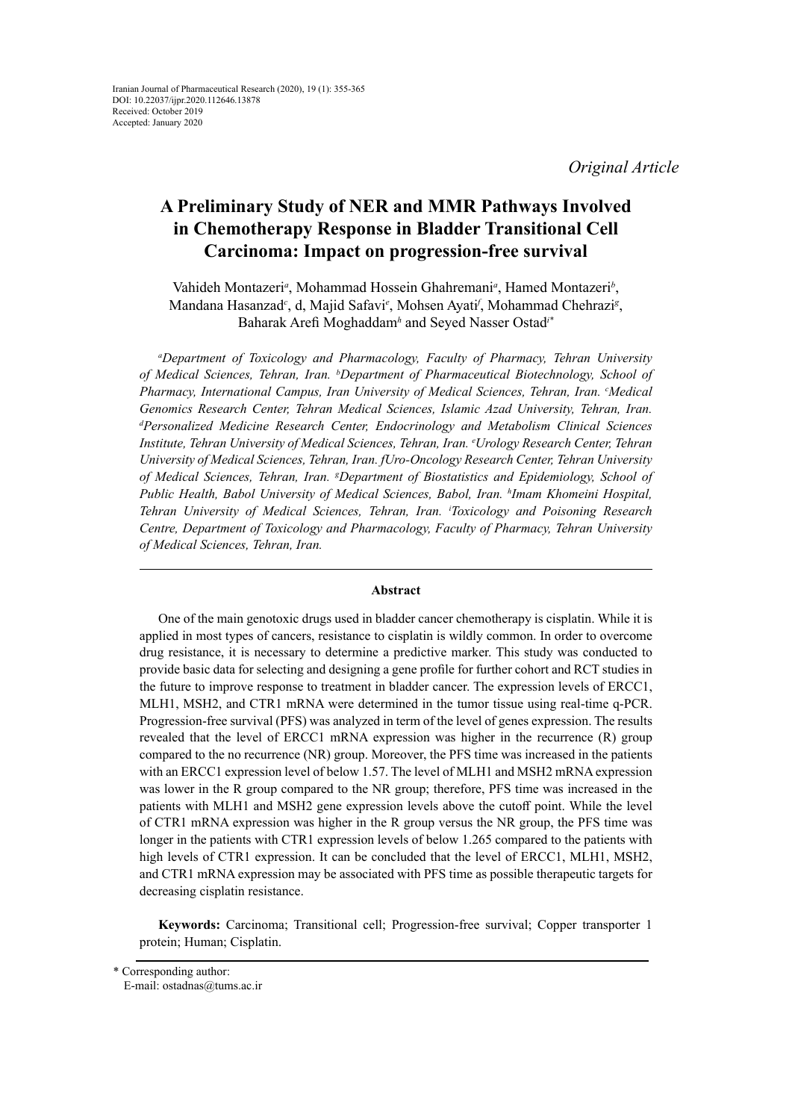*Original Article*

# **A Preliminary Study of NER and MMR Pathways Involved in Chemotherapy Response in Bladder Transitional Cell Carcinoma: Impact on progression-free survival**

Vahideh Montazeri<sup>a</sup>, Mohammad Hossein Ghahremani<sup>a</sup>, Hamed Montazeri<sup>b</sup>, Mandana Hasanzad<sup>c</sup>, d, Majid Safavi<sup>e</sup>, Mohsen Ayati<sup>f</sup>, Mohammad Chehrazi<sup>g</sup>, Baharak Arefi Moghaddam<sup>h</sup> and Seyed Nasser Ostad<sup>1</sup>\*

*a Department of Toxicology and Pharmacology, Faculty of Pharmacy, Tehran University of Medical Sciences, Tehran, Iran. b Department of Pharmaceutical Biotechnology, School of*  Pharmacy, International Campus, Iran University of Medical Sciences, Tehran, Iran. <sup>c</sup>Medical *Genomics Research Center, Tehran Medical Sciences, Islamic Azad University, Tehran, Iran. d Personalized Medicine Research Center, Endocrinology and Metabolism Clinical Sciences Institute, Tehran University of Medical Sciences, Tehran, Iran. e Urology Research Center, Tehran University of Medical Sciences, Tehran, Iran. fUro-Oncology Research Center, Tehran University of Medical Sciences, Tehran, Iran. g Department of Biostatistics and Epidemiology, School of Public Health, Babol University of Medical Sciences, Babol, Iran. h Imam Khomeini Hospital, Tehran University of Medical Sciences, Tehran, Iran. i Toxicology and Poisoning Research Centre, Department of Toxicology and Pharmacology, Faculty of Pharmacy, Tehran University of Medical Sciences, Tehran, Iran.*

## **Abstract**

One of the main genotoxic drugs used in bladder cancer chemotherapy is cisplatin. While it is applied in most types of cancers, resistance to cisplatin is wildly common. In order to overcome drug resistance, it is necessary to determine a predictive marker. This study was conducted to provide basic data for selecting and designing a gene profile for further cohort and RCT studies in the future to improve response to treatment in bladder cancer. The expression levels of ERCC1, MLH1, MSH2, and CTR1 mRNA were determined in the tumor tissue using real-time q-PCR. Progression-free survival (PFS) was analyzed in term of the level of genes expression. The results revealed that the level of ERCC1 mRNA expression was higher in the recurrence (R) group compared to the no recurrence (NR) group. Moreover, the PFS time was increased in the patients with an ERCC1 expression level of below 1.57. The level of MLH1 and MSH2 mRNA expression was lower in the R group compared to the NR group; therefore, PFS time was increased in the patients with MLH1 and MSH2 gene expression levels above the cutoff point. While the level of CTR1 mRNA expression was higher in the R group versus the NR group, the PFS time was longer in the patients with CTR1 expression levels of below 1.265 compared to the patients with high levels of CTR1 expression. It can be concluded that the level of ERCC1, MLH1, MSH2, and CTR1 mRNA expression may be associated with PFS time as possible therapeutic targets for decreasing cisplatin resistance.

**Keywords:** Carcinoma; Transitional cell; Progression-free survival; Copper transporter 1 protein; Human; Cisplatin.

<sup>\*</sup> Corresponding author:

E-mail: ostadnas@tums.ac.ir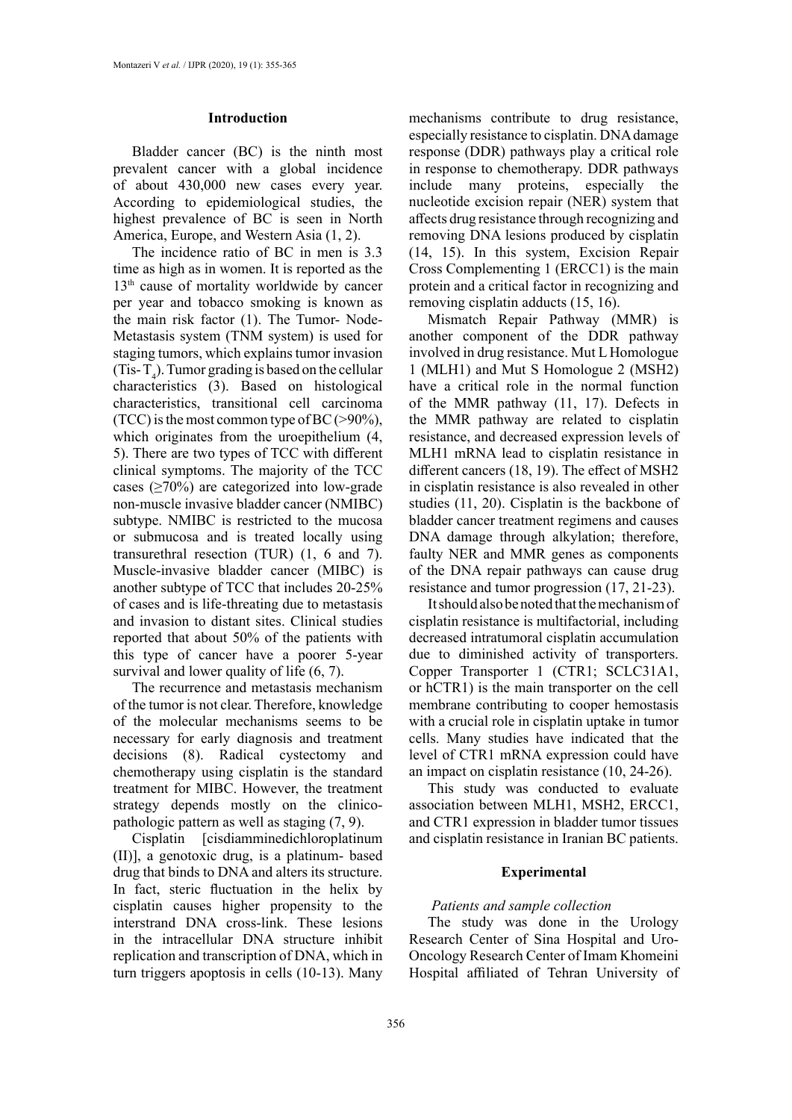#### **Introduction**

Bladder cancer (BC) is the ninth most prevalent cancer with a global incidence of about 430,000 new cases every year. According to epidemiological studies, the highest prevalence of BC is seen in North America, Europe, and Western Asia (1, 2).

The incidence ratio of BC in men is 3.3 time as high as in women. It is reported as the 13<sup>th</sup> cause of mortality worldwide by cancer per year and tobacco smoking is known as the main risk factor (1). The Tumor- Node-Metastasis system (TNM system) is used for staging tumors, which explains tumor invasion (Tis-T<sub>4</sub>). Tumor grading is based on the cellular characteristics (3). Based on histological characteristics, transitional cell carcinoma (TCC) is the most common type of BC  $(>90\%)$ , which originates from the uroepithelium  $(4, 4)$ 5). There are two types of TCC with different clinical symptoms. The majority of the TCC cases  $(≥70%)$  are categorized into low-grade non-muscle invasive bladder cancer (NMIBC) subtype. NMIBC is restricted to the mucosa or submucosa and is treated locally using transurethral resection (TUR) (1, 6 and 7). Muscle-invasive bladder cancer (MIBC) is another subtype of TCC that includes 20-25% of cases and is life-threating due to metastasis and invasion to distant sites. Clinical studies reported that about 50% of the patients with this type of cancer have a poorer 5-year survival and lower quality of life (6, 7).

The recurrence and metastasis mechanism of the tumor is not clear. Therefore, knowledge of the molecular mechanisms seems to be necessary for early diagnosis and treatment decisions (8). Radical cystectomy and chemotherapy using cisplatin is the standard treatment for MIBC. However, the treatment strategy depends mostly on the clinicopathologic pattern as well as staging (7, 9).

Cisplatin [cisdiamminedichloroplatinum (II)], a genotoxic drug, is a platinum- based drug that binds to DNA and alters its structure. In fact, steric fluctuation in the helix by cisplatin causes higher propensity to the interstrand DNA cross-link. These lesions in the intracellular DNA structure inhibit replication and transcription of DNA, which in turn triggers apoptosis in cells (10-13). Many

mechanisms contribute to drug resistance, especially resistance to cisplatin. DNA damage response (DDR) pathways play a critical role in response to chemotherapy. DDR pathways include many proteins, especially the nucleotide excision repair (NER) system that affects drug resistance through recognizing and removing DNA lesions produced by cisplatin (14, 15). In this system, Excision Repair Cross Complementing 1 (ERCC1) is the main protein and a critical factor in recognizing and removing cisplatin adducts (15, 16).

Mismatch Repair Pathway (MMR) is another component of the DDR pathway involved in drug resistance. Mut L Homologue 1 (MLH1) and Mut S Homologue 2 (MSH2) have a critical role in the normal function of the MMR pathway (11, 17). Defects in the MMR pathway are related to cisplatin resistance, and decreased expression levels of MLH1 mRNA lead to cisplatin resistance in different cancers (18, 19). The effect of MSH2 in cisplatin resistance is also revealed in other studies (11, 20). Cisplatin is the backbone of bladder cancer treatment regimens and causes DNA damage through alkylation; therefore, faulty NER and MMR genes as components of the DNA repair pathways can cause drug resistance and tumor progression (17, 21-23).

It should also be noted that the mechanism of cisplatin resistance is multifactorial, including decreased intratumoral cisplatin accumulation due to diminished activity of transporters. Copper Transporter 1 (CTR1; SCLC31A1, or hCTR1) is the main transporter on the cell membrane contributing to cooper hemostasis with a crucial role in cisplatin uptake in tumor cells. Many studies have indicated that the level of CTR1 mRNA expression could have an impact on cisplatin resistance (10, 24-26).

This study was conducted to evaluate association between MLH1, MSH2, ERCC1, and CTR1 expression in bladder tumor tissues and cisplatin resistance in Iranian BC patients.

#### **Experimental**

#### *Patients and sample collection*

The study was done in the Urology Research Center of Sina Hospital and Uro-Oncology Research Center of Imam Khomeini Hospital affiliated of Tehran University of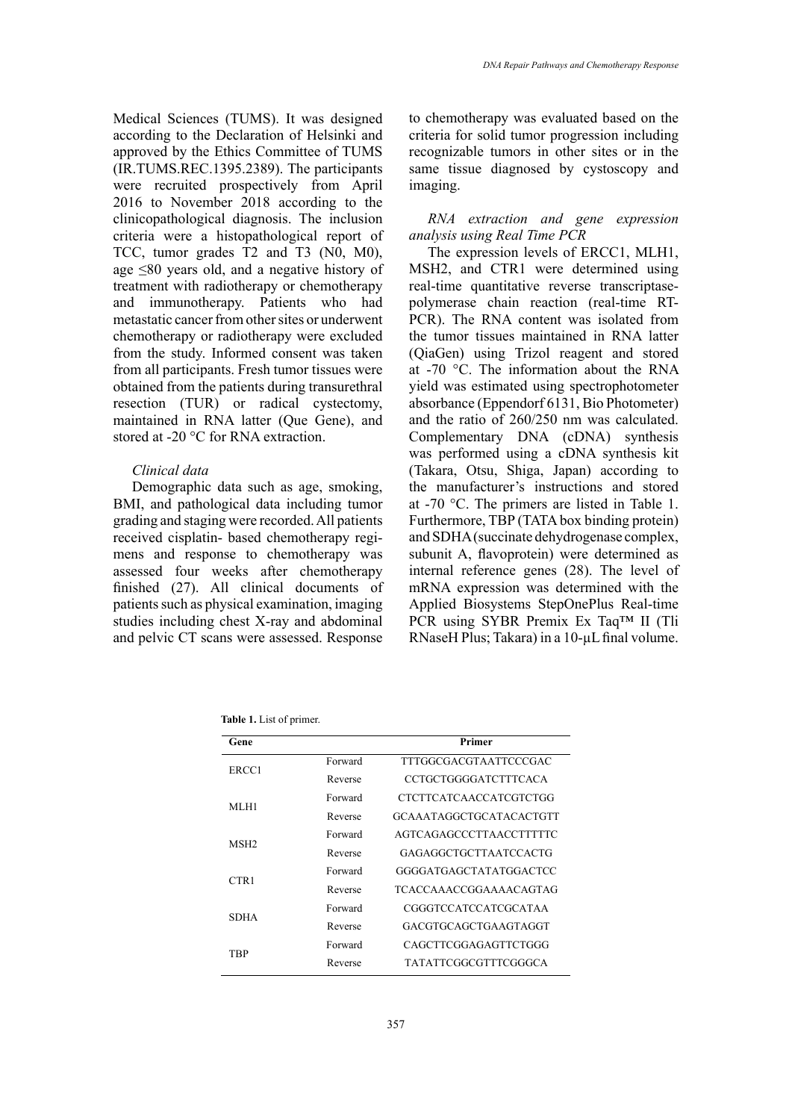Medical Sciences (TUMS). It was designed according to the Declaration of Helsinki and approved by the Ethics Committee of TUMS (IR.TUMS.REC.1395.2389). The participants were recruited prospectively from April 2016 to November 2018 according to the clinicopathological diagnosis. The inclusion criteria were a histopathological report of TCC, tumor grades T2 and T3 (N0, M0), age ≤80 years old, and a negative history of treatment with radiotherapy or chemotherapy and immunotherapy. Patients who had metastatic cancer from other sites or underwent chemotherapy or radiotherapy were excluded from the study. Informed consent was taken from all participants. Fresh tumor tissues were obtained from the patients during transurethral resection (TUR) or radical cystectomy, maintained in RNA latter (Que Gene), and stored at -20 °C for RNA extraction.

# *Clinical data*

Demographic data such as age, smoking, BMI, and pathological data including tumor grading and staging were recorded. All patients received cisplatin- based chemotherapy regimens and response to chemotherapy was assessed four weeks after chemotherapy finished (27). All clinical documents of patients such as physical examination, imaging studies including chest X-ray and abdominal and pelvic CT scans were assessed. Response

to chemotherapy was evaluated based on the criteria for solid tumor progression including recognizable tumors in other sites or in the same tissue diagnosed by cystoscopy and imaging.

# *RNA extraction and gene expression analysis using Real Time PCR*

The expression levels of ERCC1, MLH1, MSH2, and CTR1 were determined using real-time quantitative reverse transcriptasepolymerase chain reaction (real-time RT-PCR). The RNA content was isolated from the tumor tissues maintained in RNA latter (QiaGen) using Trizol reagent and stored at -70 °C. The information about the RNA yield was estimated using spectrophotometer absorbance (Eppendorf 6131, Bio Photometer) and the ratio of 260/250 nm was calculated. Complementary DNA (cDNA) synthesis was performed using a cDNA synthesis kit (Takara, Otsu, Shiga, Japan) according to the manufacturer's instructions and stored at -70 °C. The primers are listed in Table 1. Furthermore, TBP (TATA box binding protein) and SDHA (succinate dehydrogenase complex, subunit A, flavoprotein) were determined as internal reference genes (28). The level of mRNA expression was determined with the Applied Biosystems StepOnePlus Real-time PCR using SYBR Premix Ex Taq™ II (Tli RNaseH Plus; Takara) in a 10-µL final volume.

**Table 1.** List of primer.

| Gene             |         | Primer                  |  |
|------------------|---------|-------------------------|--|
| ERCC1            | Forward | TTTGGCGACGTAATTCCCGAC   |  |
|                  | Reverse | CCTGCTGGGGATCTTTCACA    |  |
| MLH1             | Forward | CTCTTCATCAACCATCGTCTGG  |  |
|                  | Reverse | GCAAATAGGCTGCATACACTGTT |  |
| MSH <sub>2</sub> | Forward | AGTCAGAGCCCTTAACCTTTTTC |  |
|                  | Reverse | GAGAGGCTGCTTAATCCACTG   |  |
| CTR1             | Forward | GGGGATGAGCTATATGGACTCC  |  |
|                  | Reverse | TCACCAAACCGGAAAACAGTAG  |  |
| <b>SDHA</b>      | Forward | CGGGTCCATCCATCGCATAA    |  |
|                  | Reverse | GACGTGCAGCTGAAGTAGGT    |  |
| TRP              | Forward | CAGCTTCGGAGAGTTCTGGG    |  |
|                  | Reverse | TATATTCGGCGTTTCGGGCA    |  |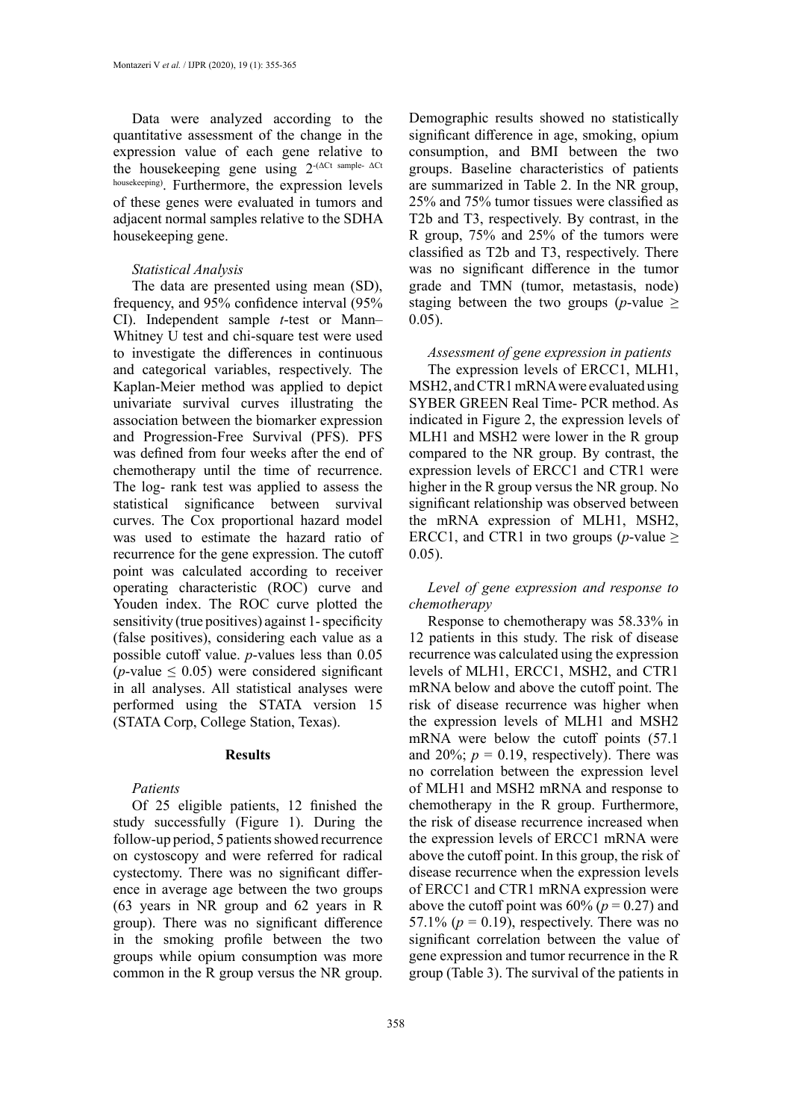Data were analyzed according to the quantitative assessment of the change in the expression value of each gene relative to the housekeeping gene using  $2^{-(\Delta Ct \text{ sample-}\Delta Ct)}$ housekeeping). Furthermore, the expression levels of these genes were evaluated in tumors and adjacent normal samples relative to the SDHA housekeeping gene.

# *Statistical Analysis*

The data are presented using mean (SD), frequency, and 95% confidence interval (95% CI). Independent sample *t*-test or Mann– Whitney U test and chi-square test were used to investigate the differences in continuous and categorical variables, respectively. The Kaplan-Meier method was applied to depict univariate survival curves illustrating the association between the biomarker expression and Progression-Free Survival (PFS). PFS was defined from four weeks after the end of chemotherapy until the time of recurrence. The log- rank test was applied to assess the statistical significance between survival curves. The Cox proportional hazard model was used to estimate the hazard ratio of recurrence for the gene expression. The cutoff point was calculated according to receiver operating characteristic (ROC) curve and Youden index. The ROC curve plotted the sensitivity (true positives) against 1- specificity (false positives), considering each value as a possible cutoff value. *p*-values less than 0.05  $(p$ -value  $\leq$  0.05) were considered significant in all analyses. All statistical analyses were performed using the STATA version 15 (STATA Corp, College Station, Texas).

## **Results**

#### *Patients*

Of 25 eligible patients, 12 finished the study successfully (Figure 1). During the follow-up period, 5 patients showed recurrence on cystoscopy and were referred for radical cystectomy. There was no significant difference in average age between the two groups (63 years in NR group and 62 years in R group). There was no significant difference in the smoking profile between the two groups while opium consumption was more common in the R group versus the NR group.

Demographic results showed no statistically significant difference in age, smoking, opium consumption, and BMI between the two groups. Baseline characteristics of patients are summarized in Table 2. In the NR group, 25% and 75% tumor tissues were classified as T2b and T3, respectively. By contrast, in the R group, 75% and 25% of the tumors were classified as T2b and T3, respectively. There was no significant difference in the tumor grade and TMN (tumor, metastasis, node) staging between the two groups (*p*-value  $\geq$ 0.05).

# *Assessment of gene expression in patients*

The expression levels of ERCC1, MLH1, MSH2, and CTR1 mRNA were evaluated using SYBER GREEN Real Time- PCR method. As indicated in Figure 2, the expression levels of MLH1 and MSH2 were lower in the R group compared to the NR group. By contrast, the expression levels of ERCC1 and CTR1 were higher in the R group versus the NR group. No significant relationship was observed between the mRNA expression of MLH1, MSH2, ERCC1, and CTR1 in two groups (*p*-value  $\geq$  $(0.05)$ .

*Level of gene expression and response to chemotherapy*

Response to chemotherapy was 58.33% in 12 patients in this study. The risk of disease recurrence was calculated using the expression levels of MLH1, ERCC1, MSH2, and CTR1 mRNA below and above the cutoff point. The risk of disease recurrence was higher when the expression levels of MLH1 and MSH2 mRNA were below the cutoff points (57.1 and 20%;  $p = 0.19$ , respectively). There was no correlation between the expression level of MLH1 and MSH2 mRNA and response to chemotherapy in the R group. Furthermore, the risk of disease recurrence increased when the expression levels of ERCC1 mRNA were above the cutoff point. In this group, the risk of disease recurrence when the expression levels of ERCC1 and CTR1 mRNA expression were above the cutoff point was  $60\%$  ( $p = 0.27$ ) and 57.1%  $(p = 0.19)$ , respectively. There was no significant correlation between the value of gene expression and tumor recurrence in the R group (Table 3). The survival of the patients in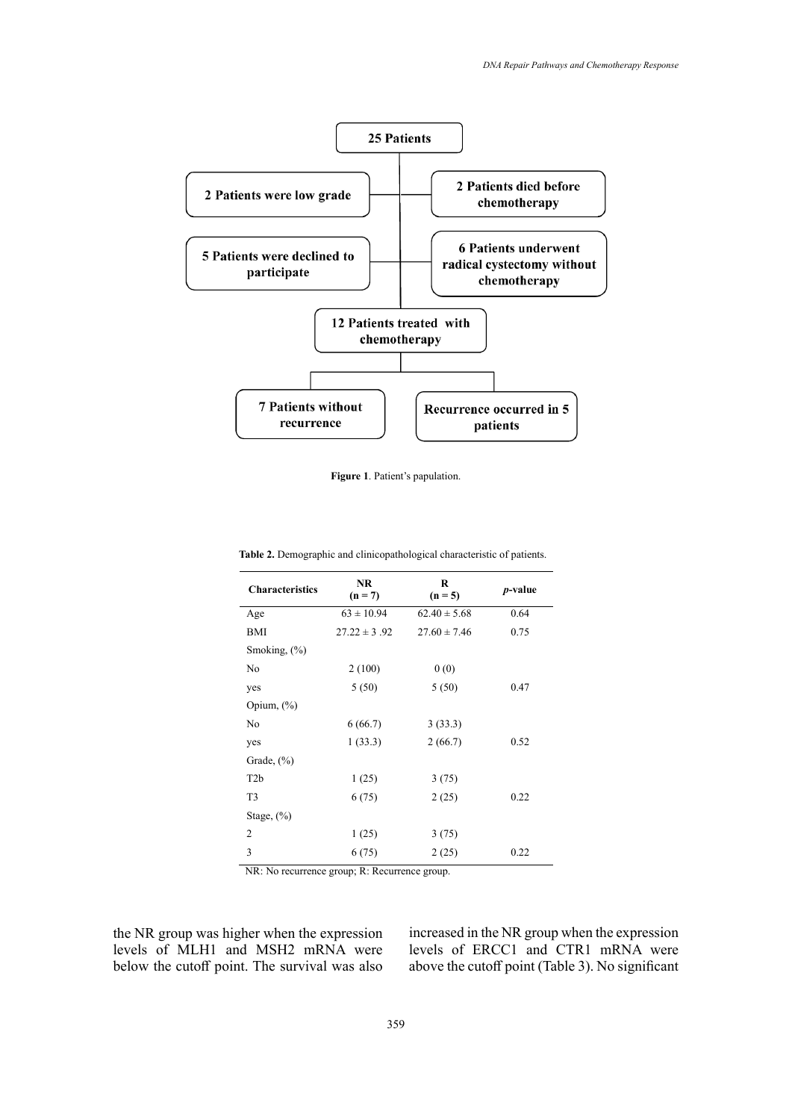

**Figure 1.** Patient's papulation. **Figure 1**. Patient's papulation.

| <b>Characteristics</b> | <b>NR</b><br>$(n = 7)$ | R<br>$(n = 5)$   | <i>p</i> -value |
|------------------------|------------------------|------------------|-----------------|
| Age                    | $63 \pm 10.94$         | $62.40 \pm 5.68$ | 0.64            |
| <b>BMI</b>             | $27.22 \pm 3.92$       | $27.60 \pm 7.46$ | 0.75            |
| Smoking, $(\%)$        |                        |                  |                 |
| No                     | 2(100)                 | 0(0)             |                 |
| yes                    | 5(50)                  | 5(50)            | 0.47            |
| Opium, $(\%)$          |                        |                  |                 |
| No                     | 6(66.7)                | 3(33.3)          |                 |
| yes                    | 1(33.3)                | 2(66.7)          | 0.52            |
| Grade, $(\% )$         |                        |                  |                 |
| T <sub>2</sub> b       | 1(25)                  | 3(75)            |                 |
| T <sub>3</sub>         | 6(75)                  | 2(25)            | 0.22            |
| Stage, $(\%)$          |                        |                  |                 |
| $\overline{2}$         | 1(25)                  | 3(75)            |                 |
| 3                      | 6(75)                  | 2(25)            | 0.22            |

**Table 2.** Demographic and clinicopathological characteristic of patients. **Table 2.** Demographic and clinicopathological characteristic of patients.

NR: No recurrence group; R: Recurrence group.

the NR group was higher when the expression levels of MLH1 and MSH2 mRNA were below the cutoff point. The survival was also

increased in the NR group when the expression levels of ERCC1 and CTR1 mRNA were above the cutoff point (Table 3). No significant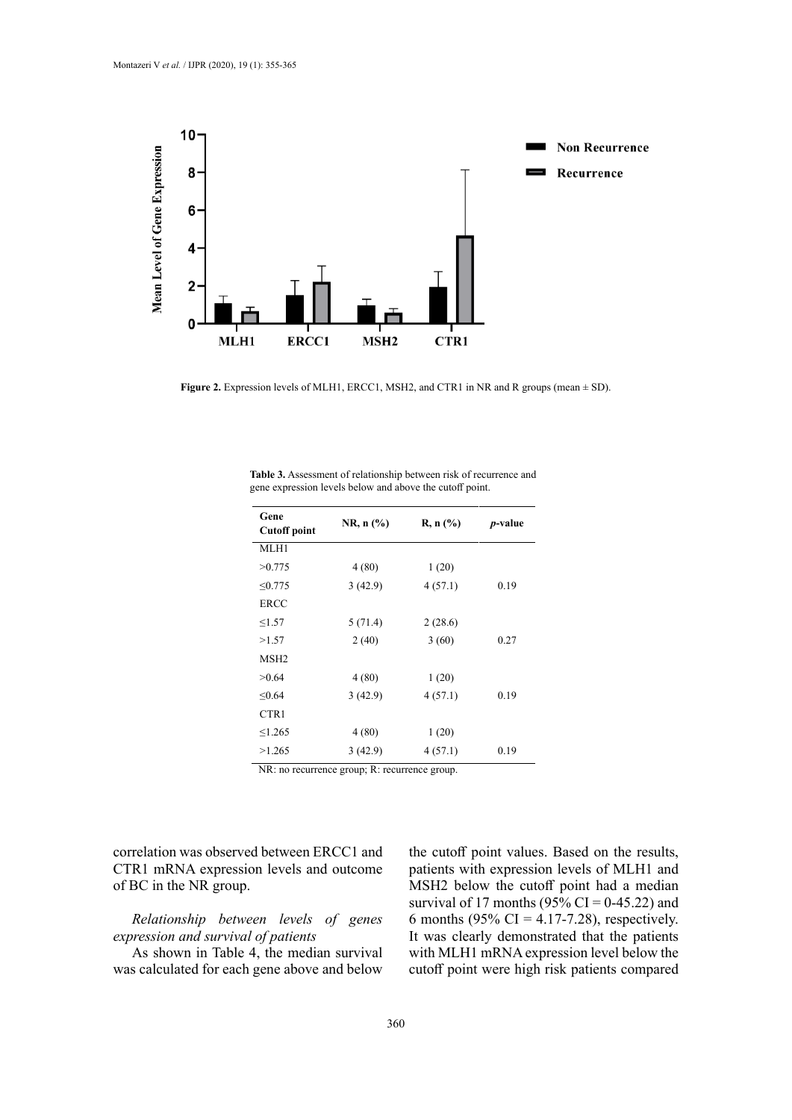

Figure 2. Expression levels of MLH1, ERCC1, MSH2, and CTR1 in NR and R groups (mean  $\pm$  SD).

| Gene<br><b>Cutoff point</b> | $NR, n (\%)$ | R, n (%) | <i>p</i> -value |
|-----------------------------|--------------|----------|-----------------|
| MLH1                        |              |          |                 |
| >0.775                      | 4(80)        | 1(20)    |                 |
| < 0.775                     | 3(42.9)      | 4(57.1)  | 0.19            |
| <b>ERCC</b>                 |              |          |                 |
| $\leq$ 1.57                 | 5(71.4)      | 2(28.6)  |                 |
| >1.57                       | 2(40)        | 3(60)    | 0.27            |
| MSH <sub>2</sub>            |              |          |                 |
| >0.64                       | 4(80)        | 1(20)    |                 |
| < 0.64                      | 3(42.9)      | 4(57.1)  | 0.19            |
| CTR1                        |              |          |                 |
| $\leq 1.265$                | 4(80)        | 1(20)    |                 |
| >1.265                      | 3(42.9)      | 4(57.1)  | 0.19            |

gene expression levels below and above the cutoff point. **Table 3.** Assessment of relationship between risk of recurrence and

NR: no recurrence group; R: recurrence group.

correlation was observed between ERCC1 and CTR1 mRNA expression levels and outcome of BC in the NR group.

*Relationship between levels of genes expression and survival of patients*

As shown in Table 4, the median survival was calculated for each gene above and below the cutoff point values. Based on the results, patients with expression levels of MLH1 and MSH2 below the cutoff point had a median survival of 17 months (95% CI = 0-45.22) and 6 months (95% CI = 4.17-7.28), respectively. It was clearly demonstrated that the patients with MLH1 mRNA expression level below the cutoff point were high risk patients compared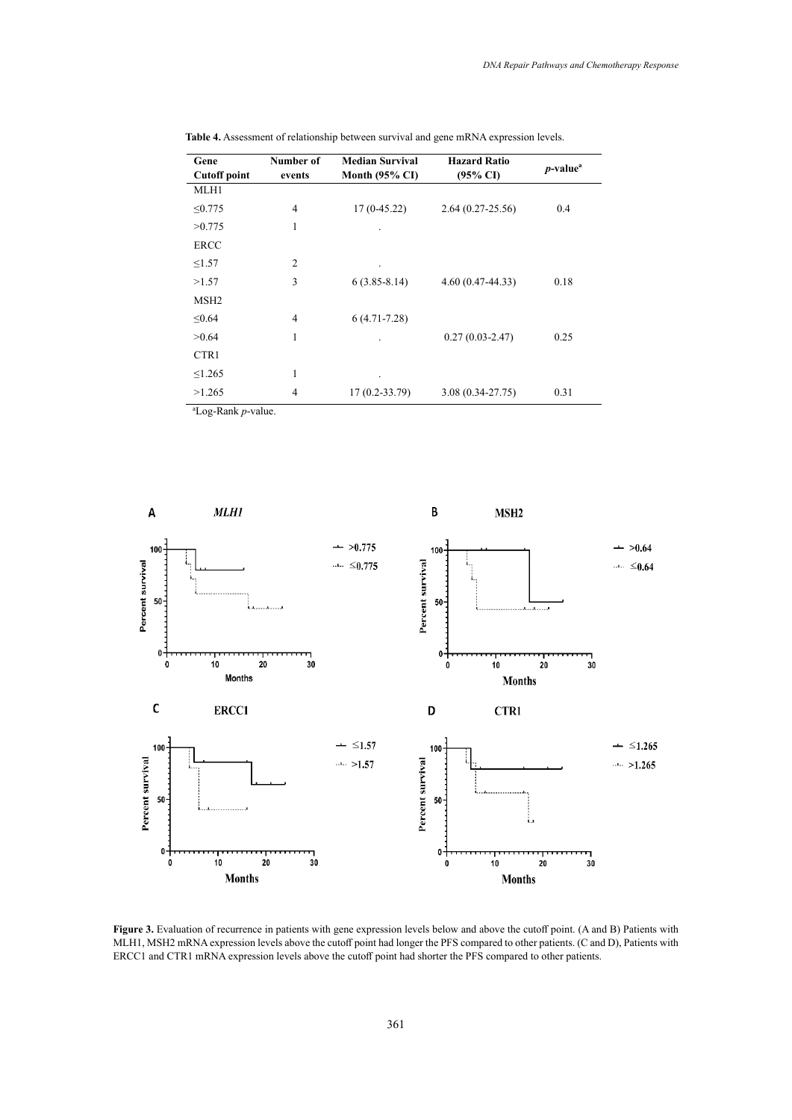| Gene                | Number of      | <b>Median Survival</b>    | <b>Hazard Ratio</b>  | $p$ -value <sup>a</sup> |
|---------------------|----------------|---------------------------|----------------------|-------------------------|
| <b>Cutoff point</b> | events         | Month $(95\% \text{ CI})$ | $(95\% \text{ CI})$  |                         |
| MLH1                |                |                           |                      |                         |
| $\leq 0.775$        | $\overline{4}$ | $17(0-45.22)$             | $2.64(0.27-25.56)$   | 0.4                     |
| >0.775              | 1              |                           |                      |                         |
| <b>ERCC</b>         |                |                           |                      |                         |
| $\leq$ 1.57         | $\overline{2}$ |                           |                      |                         |
| >1.57               | 3              | $6(3.85 - 8.14)$          | $4.60(0.47-44.33)$   | 0.18                    |
| MSH <sub>2</sub>    |                |                           |                      |                         |
| ≤ $0.64$            | 4              | $6(4.71 - 7.28)$          |                      |                         |
| >0.64               | 1              |                           | $0.27(0.03 - 2.47)$  | 0.25                    |
| CTR1                |                |                           |                      |                         |
| $\leq 1.265$        | 1              | ٠                         |                      |                         |
| >1.265              | 4              | $17(0.2 - 33.79)$         | $3.08(0.34 - 27.75)$ | 0.31                    |

**Table 4.** Assessment of relationship between survival and gene mRNA expression levels. **Table 4.** Assessment of relationship between survival and gene mRNA expression levels.

a Log-Rank *p*-value.



MLH1, MSH2 mRNA expression levels above the cutoff point had longer the PFS compared to other patients. (C and D), Patients with Figure 3. Evaluation of recurrence in patients with gene expression levels below and above the cutoff point. (A and B) Patients with ERCC1 and CTR1 mRNA expression levels above the cutoff point had shorter the PFS compared to other patients.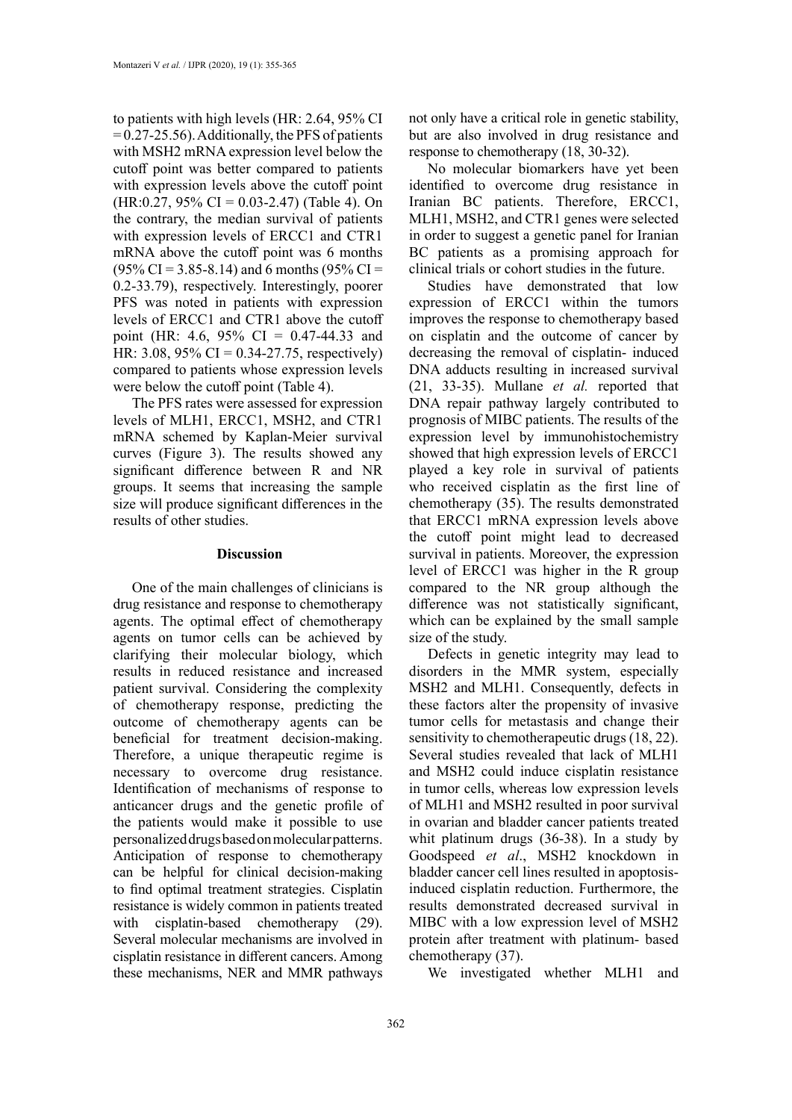to patients with high levels (HR: 2.64, 95% CI  $= 0.27 - 25.56$ . Additionally, the PFS of patients with MSH2 mRNA expression level below the cutoff point was better compared to patients with expression levels above the cutoff point  $(HR: 0.27, 95\% \text{ CI} = 0.03-2.47)$  (Table 4). On the contrary, the median survival of patients with expression levels of ERCC1 and CTR1 mRNA above the cutoff point was 6 months  $(95\% \text{ CI} = 3.85 - 8.14)$  and 6 months  $(95\% \text{ CI} =$ 0.2-33.79), respectively. Interestingly, poorer PFS was noted in patients with expression levels of ERCC1 and CTR1 above the cutoff point (HR: 4.6, 95% CI = 0.47-44.33 and HR: 3.08, 95% CI = 0.34-27.75, respectively) compared to patients whose expression levels were below the cutoff point (Table 4).

The PFS rates were assessed for expression levels of MLH1, ERCC1, MSH2, and CTR1 mRNA schemed by Kaplan-Meier survival curves (Figure 3). The results showed any significant difference between R and NR groups. It seems that increasing the sample size will produce significant differences in the results of other studies.

### **Discussion**

One of the main challenges of clinicians is drug resistance and response to chemotherapy agents. The optimal effect of chemotherapy agents on tumor cells can be achieved by clarifying their molecular biology, which results in reduced resistance and increased patient survival. Considering the complexity of chemotherapy response, predicting the outcome of chemotherapy agents can be beneficial for treatment decision-making. Therefore, a unique therapeutic regime is necessary to overcome drug resistance. Identification of mechanisms of response to anticancer drugs and the genetic profile of the patients would make it possible to use personalized drugs based on molecular patterns. Anticipation of response to chemotherapy can be helpful for clinical decision-making to find optimal treatment strategies. Cisplatin resistance is widely common in patients treated with cisplatin-based chemotherapy (29). Several molecular mechanisms are involved in cisplatin resistance in different cancers. Among these mechanisms, NER and MMR pathways

not only have a critical role in genetic stability, but are also involved in drug resistance and response to chemotherapy (18, 30-32).

No molecular biomarkers have yet been identified to overcome drug resistance in Iranian BC patients. Therefore, ERCC1, MLH1, MSH2, and CTR1 genes were selected in order to suggest a genetic panel for Iranian BC patients as a promising approach for clinical trials or cohort studies in the future.

Studies have demonstrated that low expression of ERCC1 within the tumors improves the response to chemotherapy based on cisplatin and the outcome of cancer by decreasing the removal of cisplatin- induced DNA adducts resulting in increased survival (21, 33-35). Mullane *et al.* reported that DNA repair pathway largely contributed to prognosis of MIBC patients. The results of the expression level by immunohistochemistry showed that high expression levels of ERCC1 played a key role in survival of patients who received cisplatin as the first line of chemotherapy (35). The results demonstrated that ERCC1 mRNA expression levels above the cutoff point might lead to decreased survival in patients. Moreover, the expression level of ERCC1 was higher in the R group compared to the NR group although the difference was not statistically significant, which can be explained by the small sample size of the study.

Defects in genetic integrity may lead to disorders in the MMR system, especially MSH2 and MLH1. Consequently, defects in these factors alter the propensity of invasive tumor cells for metastasis and change their sensitivity to chemotherapeutic drugs (18, 22). Several studies revealed that lack of MLH1 and MSH2 could induce cisplatin resistance in tumor cells, whereas low expression levels of MLH1 and MSH2 resulted in poor survival in ovarian and bladder cancer patients treated whit platinum drugs (36-38). In a study by Goodspeed *et al*., MSH2 knockdown in bladder cancer cell lines resulted in apoptosisinduced cisplatin reduction. Furthermore, the results demonstrated decreased survival in MIBC with a low expression level of MSH2 protein after treatment with platinum- based chemotherapy (37).

We investigated whether MLH1 and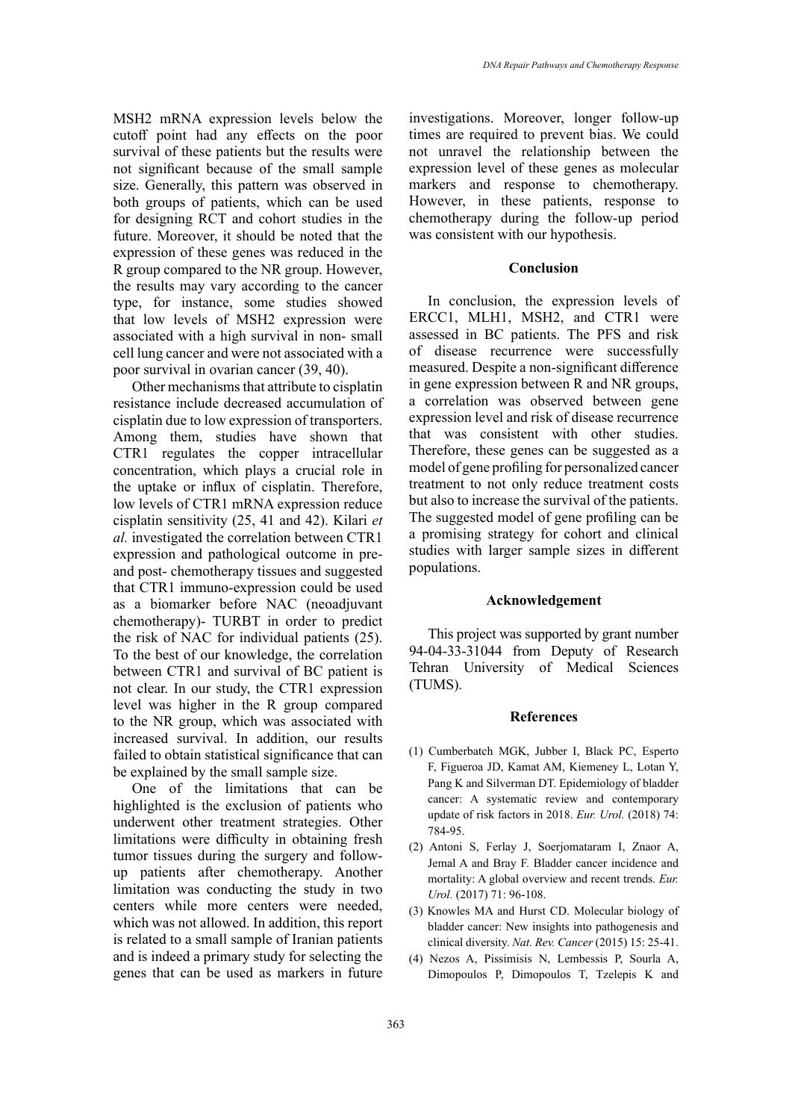MSH2 mRNA expression levels below the cutoff point had any effects on the poor survival of these patients but the results were not significant because of the small sample size. Generally, this pattern was observed in both groups of patients, which can be used for designing RCT and cohort studies in the future. Moreover, it should be noted that the expression of these genes was reduced in the R group compared to the NR group. However, the results may vary according to the cancer type, for instance, some studies showed that low levels of MSH2 expression were associated with a high survival in non- small cell lung cancer and were not associated with a poor survival in ovarian cancer (39, 40).

Other mechanisms that attribute to cisplatin resistance include decreased accumulation of cisplatin due to low expression of transporters. Among them, studies have shown that CTR1 regulates the copper intracellular concentration, which plays a crucial role in the uptake or influx of cisplatin. Therefore, low levels of CTR1 mRNA expression reduce cisplatin sensitivity (25, 41 and 42). Kilari *et al.* investigated the correlation between CTR1 expression and pathological outcome in preand post- chemotherapy tissues and suggested that CTR1 immuno-expression could be used as a biomarker before NAC (neoadjuvant chemotherapy)- TURBT in order to predict the risk of NAC for individual patients (25). To the best of our knowledge, the correlation between CTR1 and survival of BC patient is not clear. In our study, the CTR1 expression level was higher in the R group compared to the NR group, which was associated with increased survival. In addition, our results failed to obtain statistical significance that can be explained by the small sample size.

One of the limitations that can be highlighted is the exclusion of patients who underwent other treatment strategies. Other limitations were difficulty in obtaining fresh tumor tissues during the surgery and followup patients after chemotherapy. Another limitation was conducting the study in two centers while more centers were needed, which was not allowed. In addition, this report is related to a small sample of Iranian patients and is indeed a primary study for selecting the genes that can be used as markers in future

investigations. Moreover, longer follow-up times are required to prevent bias. We could not unravel the relationship between the expression level of these genes as molecular markers and response to chemotherapy. However, in these patients, response to chemotherapy during the follow-up period was consistent with our hypothesis.

# **Conclusion**

In conclusion, the expression levels of ERCC1, MLH1, MSH2, and CTR1 were assessed in BC patients. The PFS and risk of disease recurrence were successfully measured. Despite a non-significant difference in gene expression between R and NR groups, a correlation was observed between gene expression level and risk of disease recurrence that was consistent with other studies. Therefore, these genes can be suggested as a model of gene profiling for personalized cancer treatment to not only reduce treatment costs but also to increase the survival of the patients. The suggested model of gene profiling can be a promising strategy for cohort and clinical studies with larger sample sizes in different populations.

#### **Acknowledgement**

This project was supported by grant number 94-04-33-31044 from Deputy of Research Tehran University of Medical Sciences (TUMS).

#### **References**

- (1) Cumberbatch MGK, Jubber I, Black PC, Esperto F, Figueroa JD, Kamat AM, Kiemeney L, Lotan Y, Pang K and Silverman DT. Epidemiology of bladder cancer: A systematic review and contemporary update of risk factors in 2018. *Eur. Urol.* (2018) 74: 784-95.
- (2) Antoni S, Ferlay J, Soerjomataram I, Znaor A, Jemal A and Bray F. Bladder cancer incidence and mortality: A global overview and recent trends. *Eur. Urol.* (2017) 71: 96-108.
- (3) Knowles MA and Hurst CD. Molecular biology of bladder cancer: New insights into pathogenesis and clinical diversity. *Nat. Rev. Cancer* (2015) 15: 25-41.
- (4) Nezos A, Pissimisis N, Lembessis P, Sourla A, Dimopoulos P, Dimopoulos T, Tzelepis K and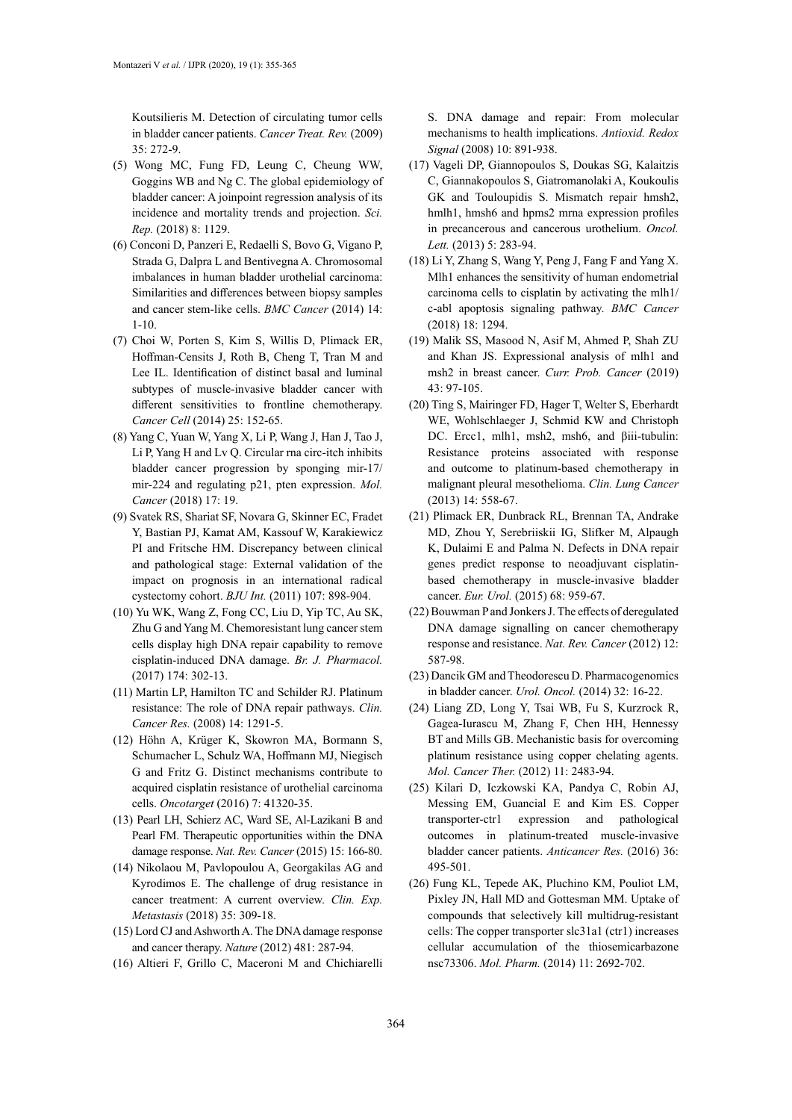Koutsilieris M. Detection of circulating tumor cells in bladder cancer patients. *Cancer Treat. Rev.* (2009) 35: 272-9.

- (5) Wong MC, Fung FD, Leung C, Cheung WW, Goggins WB and Ng C. The global epidemiology of bladder cancer: A joinpoint regression analysis of its incidence and mortality trends and projection. *Sci. Rep.* (2018) 8: 1129.
- (6) Conconi D, Panzeri E, Redaelli S, Bovo G, Vigano P, Strada G, Dalpra L and Bentivegna A. Chromosomal imbalances in human bladder urothelial carcinoma: Similarities and differences between biopsy samples and cancer stem-like cells. *BMC Cancer* (2014) 14: 1-10.
- (7) Choi W, Porten S, Kim S, Willis D, Plimack ER, Hoffman-Censits J, Roth B, Cheng T, Tran M and Lee IL. Identification of distinct basal and luminal subtypes of muscle-invasive bladder cancer with different sensitivities to frontline chemotherapy. *Cancer Cell* (2014) 25: 152-65.
- (8) Yang C, Yuan W, Yang X, Li P, Wang J, Han J, Tao J, Li P, Yang H and Lv Q. Circular rna circ-itch inhibits bladder cancer progression by sponging mir-17/ mir-224 and regulating p21, pten expression. *Mol. Cancer* (2018) 17: 19.
- (9) Svatek RS, Shariat SF, Novara G, Skinner EC, Fradet Y, Bastian PJ, Kamat AM, Kassouf W, Karakiewicz PI and Fritsche HM. Discrepancy between clinical and pathological stage: External validation of the impact on prognosis in an international radical cystectomy cohort. *BJU Int.* (2011) 107: 898-904.
- (10) Yu WK, Wang Z, Fong CC, Liu D, Yip TC, Au SK, Zhu G and Yang M. Chemoresistant lung cancer stem cells display high DNA repair capability to remove cisplatin‐induced DNA damage. *Br. J. Pharmacol.* (2017) 174: 302-13.
- (11) Martin LP, Hamilton TC and Schilder RJ. Platinum resistance: The role of DNA repair pathways. *Clin. Cancer Res.* (2008) 14: 1291-5.
- (12) Höhn A, Krüger K, Skowron MA, Bormann S, Schumacher L, Schulz WA, Hoffmann MJ, Niegisch G and Fritz G. Distinct mechanisms contribute to acquired cisplatin resistance of urothelial carcinoma cells. *Oncotarget* (2016) 7: 41320-35.
- (13) Pearl LH, Schierz AC, Ward SE, Al-Lazikani B and Pearl FM. Therapeutic opportunities within the DNA damage response. *Nat. Rev. Cancer* (2015) 15: 166-80.
- (14) Nikolaou M, Pavlopoulou A, Georgakilas AG and Kyrodimos E. The challenge of drug resistance in cancer treatment: A current overview. *Clin. Exp. Metastasis* (2018) 35: 309-18.
- (15) Lord CJ and Ashworth A. The DNA damage response and cancer therapy. *Nature* (2012) 481: 287-94.
- (16) Altieri F, Grillo C, Maceroni M and Chichiarelli

S. DNA damage and repair: From molecular mechanisms to health implications. *Antioxid. Redox Signal* (2008) 10: 891-938.

- (17) Vageli DP, Giannopoulos S, Doukas SG, Kalaitzis C, Giannakopoulos S, Giatromanolaki A, Koukoulis GK and Touloupidis S. Mismatch repair hmsh2, hmlh1, hmsh6 and hpms2 mrna expression profiles in precancerous and cancerous urothelium. *Oncol. Lett.* (2013) 5: 283-94.
- (18) Li Y, Zhang S, Wang Y, Peng J, Fang F and Yang X. Mlh1 enhances the sensitivity of human endometrial carcinoma cells to cisplatin by activating the mlh1/ c-abl apoptosis signaling pathway. *BMC Cancer* (2018) 18: 1294.
- (19) Malik SS, Masood N, Asif M, Ahmed P, Shah ZU and Khan JS. Expressional analysis of mlh1 and msh2 in breast cancer. *Curr. Prob. Cancer* (2019) 43: 97-105.
- (20) Ting S, Mairinger FD, Hager T, Welter S, Eberhardt WE, Wohlschlaeger J, Schmid KW and Christoph DC. Ercc1, mlh1, msh2, msh6, and βiii-tubulin: Resistance proteins associated with response and outcome to platinum-based chemotherapy in malignant pleural mesothelioma. *Clin. Lung Cancer* (2013) 14: 558-67.
- (21) Plimack ER, Dunbrack RL, Brennan TA, Andrake MD, Zhou Y, Serebriiskii IG, Slifker M, Alpaugh K, Dulaimi E and Palma N. Defects in DNA repair genes predict response to neoadjuvant cisplatinbased chemotherapy in muscle-invasive bladder cancer. *Eur. Urol.* (2015) 68: 959-67.
- (22) Bouwman P and Jonkers J. The effects of deregulated DNA damage signalling on cancer chemotherapy response and resistance. *Nat. Rev. Cancer* (2012) 12: 587-98.
- (23) Dancik GM and Theodorescu D. Pharmacogenomics in bladder cancer. *Urol. Oncol.* (2014) 32: 16-22.
- (24) Liang ZD, Long Y, Tsai WB, Fu S, Kurzrock R, Gagea-Iurascu M, Zhang F, Chen HH, Hennessy BT and Mills GB. Mechanistic basis for overcoming platinum resistance using copper chelating agents. *Mol. Cancer Ther.* (2012) 11: 2483-94.
- (25) Kilari D, Iczkowski KA, Pandya C, Robin AJ, Messing EM, Guancial E and Kim ES. Copper transporter-ctr1 expression and pathological outcomes in platinum-treated muscle-invasive bladder cancer patients. *Anticancer Res.* (2016) 36: 495-501.
- (26) Fung KL, Tepede AK, Pluchino KM, Pouliot LM, Pixley JN, Hall MD and Gottesman MM. Uptake of compounds that selectively kill multidrug-resistant cells: The copper transporter slc31a1 (ctr1) increases cellular accumulation of the thiosemicarbazone nsc73306. *Mol. Pharm.* (2014) 11: 2692-702.